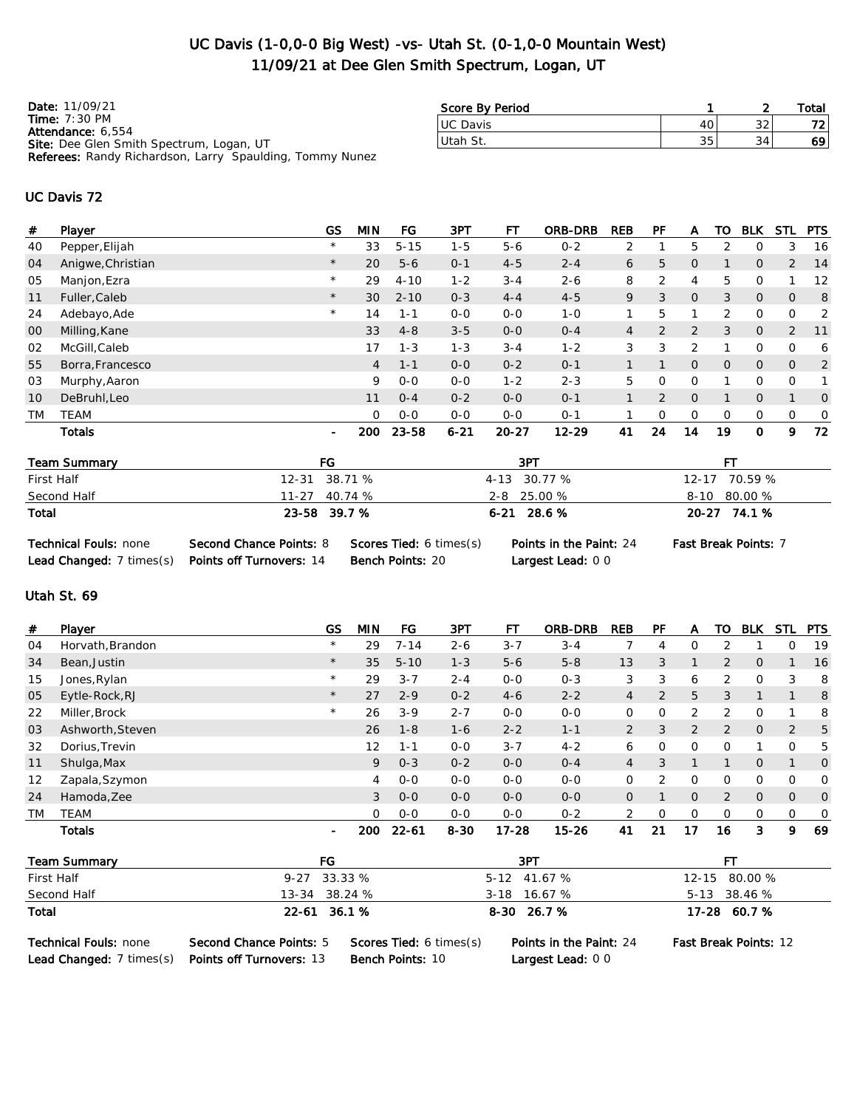## UC Davis (1-0,0-0 Big West) -vs- Utah St. (0-1,0-0 Mountain West) 11/09/21 at Dee Glen Smith Spectrum, Logan, UT

| Date: 11/09/21                                                  |
|-----------------------------------------------------------------|
| <b>Time:</b> $7:30 \text{ PM}$                                  |
| Attendance: 6.554                                               |
| <b>Site:</b> Dee Glen Smith Spectrum, Logan, UT                 |
| <b>Referees:</b> Randy Richardson, Larry Spaulding, Tommy Nunez |

| Score By Period  |    |        | Total |
|------------------|----|--------|-------|
| <b>IUC Davis</b> |    | $\sim$ |       |
| lUtah St.        | 35 | 34     |       |

## UC Davis 72

| #  | Player            | GS             | <b>MIN</b>     | FG       | 3PT      | FТ        | <b>ORB-DRB</b> | <b>REB</b>     | РF             | A              | то            | <b>BLK</b>     | <b>STL</b>   | <b>PTS</b>     |
|----|-------------------|----------------|----------------|----------|----------|-----------|----------------|----------------|----------------|----------------|---------------|----------------|--------------|----------------|
| 40 | Pepper, Elijah    | $\star$        | 33             | $5 - 15$ | $1 - 5$  | $5 - 6$   | $0 - 2$        | 2              |                | 5              | 2             | O              | 3            | 16             |
| 04 | Anigwe, Christian | $\star$        | 20             | $5 - 6$  | $0 - 1$  | $4 - 5$   | $2 - 4$        | 6              | 5              | 0              |               | $\overline{O}$ | 2            | 14             |
| 05 | Manjon, Ezra      | $\star$        | 29             | $4 - 10$ | $1 - 2$  | $3 - 4$   | $2 - 6$        | 8              | 2              | 4              | 5             | 0              |              | 12             |
| 11 | Fuller, Caleb     | $\star$        | 30             | $2 - 10$ | $0 - 3$  | $4 - 4$   | $4 - 5$        | 9              | 3              | $\overline{O}$ | 3             | $\overline{O}$ | $\mathbf{0}$ | 8              |
| 24 | Adebayo, Ade      | $\star$        | 14             | $1 - 1$  | $0 - 0$  | $0 - 0$   | $1 - 0$        |                | 5              |                | 2             | 0              | 0            | 2              |
| 00 | Milling, Kane     |                | 33             | $4 - 8$  | $3 - 5$  | $0 - 0$   | $0 - 4$        | $\overline{4}$ | 2              | 2              | 3             | $\overline{O}$ | 2            | 11             |
| 02 | McGill, Caleb     |                | 17             | $1 - 3$  | $1 - 3$  | $3 - 4$   | $1 - 2$        | 3              | 3              | 2              |               | $\Omega$       | $\Omega$     | 6              |
| 55 | Borra, Francesco  |                | $\overline{4}$ | $1 - 1$  | $0 - 0$  | $0 - 2$   | $0 - 1$        |                |                | $\overline{O}$ | $\mathcal{O}$ | $\overline{O}$ | $\mathbf{0}$ | $\overline{2}$ |
| 03 | Murphy, Aaron     |                | 9              | $0 - 0$  | $0 - 0$  | $1 - 2$   | $2 - 3$        | 5              | $\Omega$       | $\mathbf 0$    |               | 0              | 0            |                |
| 10 | DeBruhl, Leo      |                | 11             | $0 - 4$  | $0 - 2$  | $0 - 0$   | $0 - 1$        |                | $\overline{2}$ | $\overline{O}$ |               | $\overline{O}$ | 1            | $\overline{0}$ |
| TM | <b>TEAM</b>       |                | $\Omega$       | $0 - 0$  | $0 - 0$  | $0 - 0$   | $0 - 1$        |                | 0              | 0              | $\Omega$      | $\mathbf 0$    | 0            | $\mathbf 0$    |
|    | Totals            | $\blacksquare$ | 200            | 23-58    | $6 - 21$ | $20 - 27$ | $12 - 29$      | 41             | 24             | 14             | 19            | $\mathbf 0$    | 9            | 72             |

| Team Summary | FG              | 3PT             | FТ            |
|--------------|-----------------|-----------------|---------------|
| First Half   | 12-31 38.71 %   | 4-13 30.77 %    | 12-17 70.59 % |
| Second Half  | $11-27$ 40.74 % | $2 - 8$ 25.00 % | 8-10 80.00 %  |
| Total        | 23-58 39.7 %    | $6-21$ 28.6 %   | 20-27 74.1 %  |

| <b>Technical Fouls: none</b>                      | <b>Second Chance Points: 8</b> | <b>Scores Tied: 6 times (s</b> |
|---------------------------------------------------|--------------------------------|--------------------------------|
| Lead Changed: 7 times(s) Points off Turnovers: 14 |                                | <b>Bench Points: 20</b>        |

S) Points in the Paint: 24 Fast Break Points: 7 Largest Lead: 0 0

## Utah St. 69

| #         | Player           | GS      | <b>MIN</b>  | FG        | 3PT      | FТ        | <b>ORB-DRB</b> | <b>REB</b>     | РF       | А              | то             | <b>BLK</b>     | <b>STL</b>   | <b>PTS</b>     |
|-----------|------------------|---------|-------------|-----------|----------|-----------|----------------|----------------|----------|----------------|----------------|----------------|--------------|----------------|
| 04        | Horvath, Brandon | $\star$ | 29          | $7 - 14$  | $2 - 6$  | $3 - 7$   | $3 - 4$        |                | 4        | 0              | 2              |                | 0            | 19             |
| 34        | Bean, Justin     | $\star$ | 35          | $5 - 10$  | $1 - 3$  | $5 - 6$   | $5 - 8$        | 13             | 3        |                | $\overline{2}$ | $\overline{O}$ |              | 16             |
| 15        | Jones, Rylan     | $\star$ | 29          | $3 - 7$   | $2 - 4$  | $0 - 0$   | $0 - 3$        | 3              | 3        | 6              | 2              | $\mathbf 0$    | 3            | 8              |
| 05        | Eytle-Rock, RJ   | $\star$ | 27          | $2 - 9$   | $0 - 2$  | $4-6$     | $2 - 2$        | 4              | 2        | 5              | 3              | $\mathbf 1$    |              | 8              |
| 22        | Miller, Brock    | $\star$ | 26          | $3-9$     | $2 - 7$  | $0 - 0$   | $0 - 0$        | 0              | 0        | 2              | 2              | $\mathbf 0$    |              | 8              |
| 03        | Ashworth, Steven |         | 26          | $1 - 8$   | $1 - 6$  | $2 - 2$   | $1 - 1$        | $\overline{2}$ | 3        | 2              | $\overline{2}$ | $\overline{O}$ | 2            | 5              |
| 32        | Dorius, Trevin   |         | 12          | $1 - 1$   | $0-0$    | $3 - 7$   | $4 - 2$        | 6              | $\Omega$ | $\Omega$       | $\Omega$       |                | $\Omega$     | 5              |
| 11        | Shulga, Max      |         | 9           | $0 - 3$   | $0 - 2$  | $0 - 0$   | $0 - 4$        | $\overline{4}$ | 3        |                |                | $\overline{O}$ |              | $\overline{0}$ |
| 12        | Zapala, Szymon   |         | 4           | $0 - 0$   | $0 - 0$  | $0 - 0$   | $0 - 0$        | 0              | っ        | O              | O              | 0              | 0            | $\circ$        |
| 24        | Hamoda, Zee      |         | 3           | $0 - 0$   | $0 - 0$  | $0 - 0$   | $0 - 0$        | $\overline{O}$ |          | $\overline{O}$ | $\overline{2}$ | $\overline{O}$ | $\mathbf{0}$ | $\overline{0}$ |
| <b>TM</b> | <b>TEAM</b>      |         | $\mathbf 0$ | $0 - 0$   | $0 - 0$  | $0 - 0$   | $0 - 2$        | 2              |          | $\Omega$       | $\Omega$       | $\mathbf 0$    | 0            | $\circ$        |
|           | <b>Totals</b>    | ۰       | 200         | $22 - 61$ | $8 - 30$ | $17 - 28$ | $15 - 26$      | 41             | 21       | 17             | 16             | 3              | 9            | 69             |

| <b>Team Summary</b>                                                 |                                                            | FG                                                        | 3PT                                           | FТ                           |
|---------------------------------------------------------------------|------------------------------------------------------------|-----------------------------------------------------------|-----------------------------------------------|------------------------------|
| First Half                                                          |                                                            | $9 - 27$ 33.33 %                                          | 5-12 41.67 %                                  | 12-15 80.00 %                |
| Second Half                                                         |                                                            | 13-34 38.24 %                                             | $3-18$ 16.67 %                                | 5-13 38.46 %                 |
| Total                                                               |                                                            | 22-61 36.1 %                                              | 8-30 26.7 %                                   | 17-28 60.7 %                 |
| <b>Technical Fouls: none</b><br><b>Lead Changed:</b> $7 \times (s)$ | Second Chance Points: 5<br><b>Points off Turnovers: 13</b> | <b>Scores Tied: 6 times(s)</b><br><b>Bench Points: 10</b> | Points in the Paint: 24<br>Largest Lead: $00$ | <b>Fast Break Points: 12</b> |